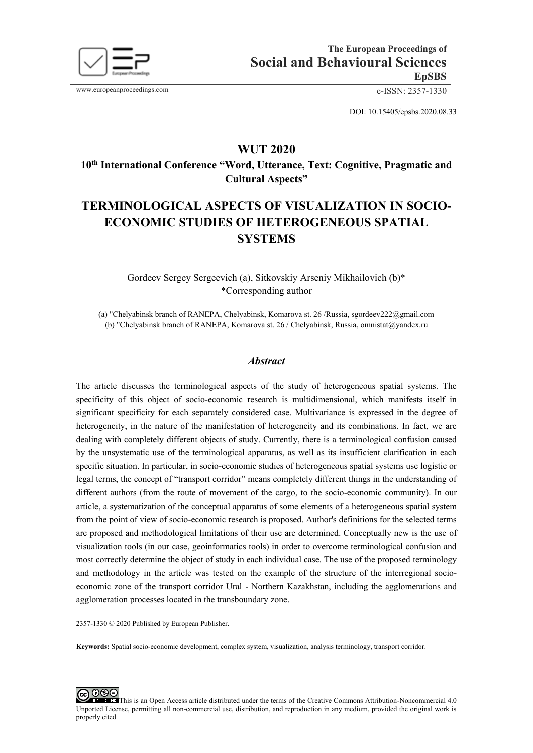

www.europeanproceedings.com e-ISSN: 2357-1330

DOI: 10.15405/epsbs.2020.08.33

## **WUT 2020**

**10th International Conference "Word, Utterance, Text: Cognitive, Pragmatic and Cultural Aspects"** 

# **TERMINOLOGICAL ASPECTS OF VISUALIZATION IN SOCIO-ECONOMIC STUDIES OF HETEROGENEOUS SPATIAL SYSTEMS**

## Gordeev Sergey Sergeevich (a), Sitkovskiy Arseniy Mikhailovich (b)\* \*Corresponding author

(a) "Chelyabinsk branch of RANEPA, Chelyabinsk, Komarova st. 26 /Russia, sgordeev222@gmail.com (b) "Chelyabinsk branch of RANEPA, Komarova st. 26 / Chelyabinsk, Russia, omnistat@yandex.ru

#### *Abstract*

The article discusses the terminological aspects of the study of heterogeneous spatial systems. The specificity of this object of socio-economic research is multidimensional, which manifests itself in significant specificity for each separately considered case. Multivariance is expressed in the degree of heterogeneity, in the nature of the manifestation of heterogeneity and its combinations. In fact, we are dealing with completely different objects of study. Currently, there is a terminological confusion caused by the unsystematic use of the terminological apparatus, as well as its insufficient clarification in each specific situation. In particular, in socio-economic studies of heterogeneous spatial systems use logistic or legal terms, the concept of "transport corridor" means completely different things in the understanding of different authors (from the route of movement of the cargo, to the socio-economic community). In our article, a systematization of the conceptual apparatus of some elements of a heterogeneous spatial system from the point of view of socio-economic research is proposed. Author's definitions for the selected terms are proposed and methodological limitations of their use are determined. Conceptually new is the use of visualization tools (in our case, geoinformatics tools) in order to overcome terminological confusion and most correctly determine the object of study in each individual case. The use of the proposed terminology and methodology in the article was tested on the example of the structure of the interregional socioeconomic zone of the transport corridor Ural - Northern Kazakhstan, including the agglomerations and agglomeration processes located in the transboundary zone.

2357-1330 © 2020 Published by European Publisher.

**Keywords:** Spatial socio-economic development, complex system, visualization, analysis terminology, transport corridor.

**@** 000 [T](http://creativecommons.org/licenses/by-nc-nd/4.0/)HE NO TRIS IS AN Open Access article distributed under the terms of the Creative Commons Attribution-Noncommercial 4.0 Unported License, permitting all non-commercial use, distribution, and reproduction in any medium, provided the original work is properly cited.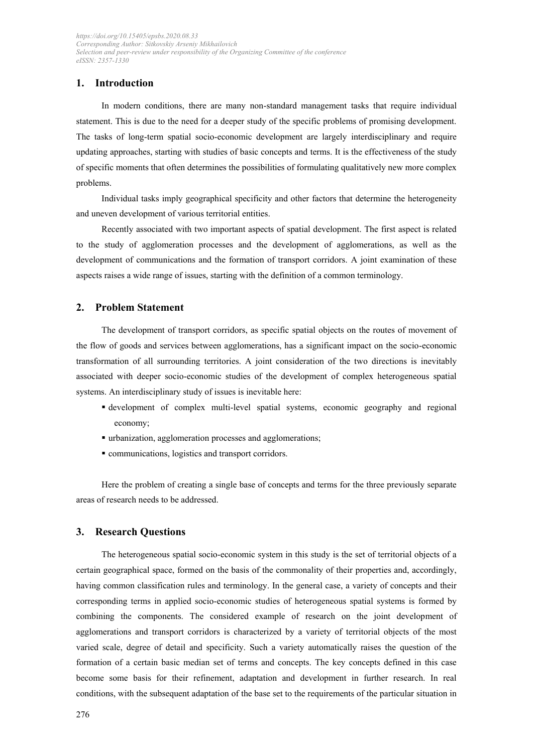## **1. Introduction**

In modern conditions, there are many non-standard management tasks that require individual statement. This is due to the need for a deeper study of the specific problems of promising development. The tasks of long-term spatial socio-economic development are largely interdisciplinary and require updating approaches, starting with studies of basic concepts and terms. It is the effectiveness of the study of specific moments that often determines the possibilities of formulating qualitatively new more complex problems.

Individual tasks imply geographical specificity and other factors that determine the heterogeneity and uneven development of various territorial entities.

Recently associated with two important aspects of spatial development. The first aspect is related to the study of agglomeration processes and the development of agglomerations, as well as the development of communications and the formation of transport corridors. A joint examination of these aspects raises a wide range of issues, starting with the definition of a common terminology.

## **2. Problem Statement**

The development of transport corridors, as specific spatial objects on the routes of movement of the flow of goods and services between agglomerations, has a significant impact on the socio-economic transformation of all surrounding territories. A joint consideration of the two directions is inevitably associated with deeper socio-economic studies of the development of complex heterogeneous spatial systems. An interdisciplinary study of issues is inevitable here:

- development of complex multi-level spatial systems, economic geography and regional economy;
- urbanization, agglomeration processes and agglomerations;
- communications, logistics and transport corridors.

Here the problem of creating a single base of concepts and terms for the three previously separate areas of research needs to be addressed.

### **3. Research Questions**

The heterogeneous spatial socio-economic system in this study is the set of territorial objects of a certain geographical space, formed on the basis of the commonality of their properties and, accordingly, having common classification rules and terminology. In the general case, a variety of concepts and their corresponding terms in applied socio-economic studies of heterogeneous spatial systems is formed by combining the components. The considered example of research on the joint development of agglomerations and transport corridors is characterized by a variety of territorial objects of the most varied scale, degree of detail and specificity. Such a variety automatically raises the question of the formation of a certain basic median set of terms and concepts. The key concepts defined in this case become some basis for their refinement, adaptation and development in further research. In real conditions, with the subsequent adaptation of the base set to the requirements of the particular situation in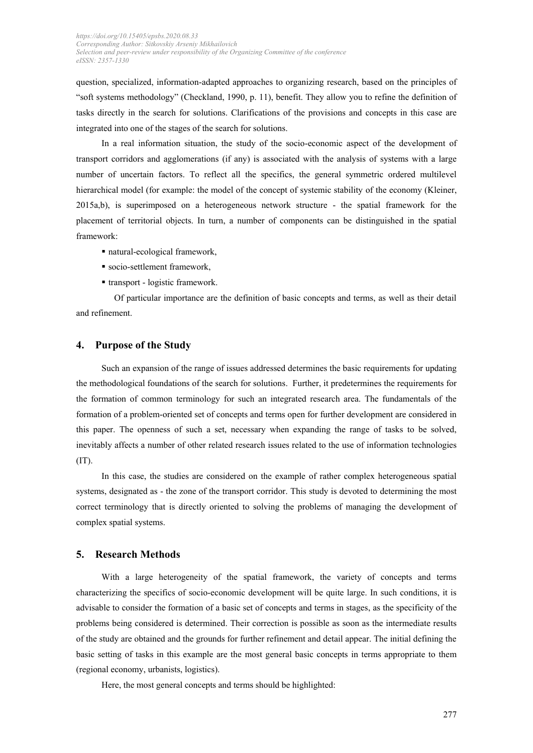question, specialized, information-adapted approaches to organizing research, based on the principles of "soft systems methodology" (Checkland, 1990, p. 11), benefit. They allow you to refine the definition of tasks directly in the search for solutions. Clarifications of the provisions and concepts in this case are integrated into one of the stages of the search for solutions.

In a real information situation, the study of the socio-economic aspect of the development of transport corridors and agglomerations (if any) is associated with the analysis of systems with a large number of uncertain factors. To reflect all the specifics, the general symmetric ordered multilevel hierarchical model (for example: the model of the concept of systemic stability of the economy (Kleiner, 2015a,b), is superimposed on a heterogeneous network structure - the spatial framework for the placement of territorial objects. In turn, a number of components can be distinguished in the spatial framework:

- natural-ecological framework,
- socio-settlement framework,
- transport logistic framework.

Of particular importance are the definition of basic concepts and terms, as well as their detail and refinement.

#### **4. Purpose of the Study**

Such an expansion of the range of issues addressed determines the basic requirements for updating the methodological foundations of the search for solutions. Further, it predetermines the requirements for the formation of common terminology for such an integrated research area. The fundamentals of the formation of a problem-oriented set of concepts and terms open for further development are considered in this paper. The openness of such a set, necessary when expanding the range of tasks to be solved, inevitably affects a number of other related research issues related to the use of information technologies  $(IT).$ 

In this case, the studies are considered on the example of rather complex heterogeneous spatial systems, designated as - the zone of the transport corridor. This study is devoted to determining the most correct terminology that is directly oriented to solving the problems of managing the development of complex spatial systems.

#### **5. Research Methods**

With a large heterogeneity of the spatial framework, the variety of concepts and terms characterizing the specifics of socio-economic development will be quite large. In such conditions, it is advisable to consider the formation of a basic set of concepts and terms in stages, as the specificity of the problems being considered is determined. Their correction is possible as soon as the intermediate results of the study are obtained and the grounds for further refinement and detail appear. The initial defining the basic setting of tasks in this example are the most general basic concepts in terms appropriate to them (regional economy, urbanists, logistics).

Here, the most general concepts and terms should be highlighted: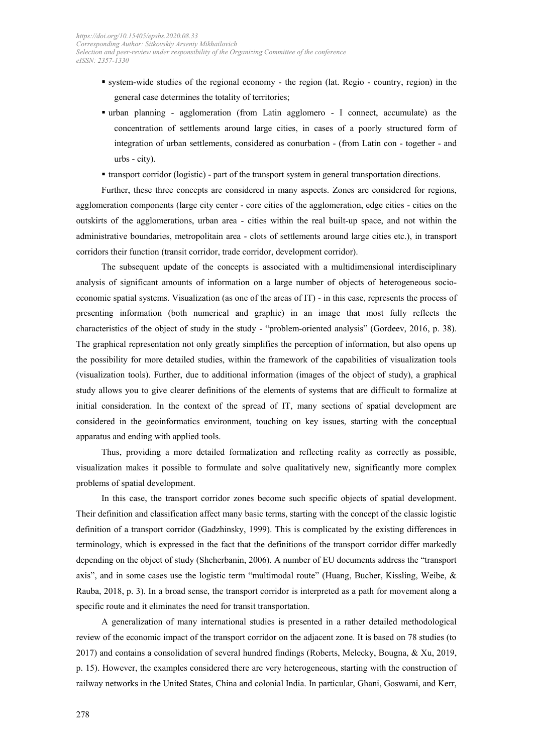- system-wide studies of the regional economy the region (lat. Regio country, region) in the general case determines the totality of territories;
- urban planning agglomeration (from Latin agglomero I connect, accumulate) as the concentration of settlements around large cities, in cases of a poorly structured form of integration of urban settlements, considered as conurbation - (from Latin con - together - and urbs - city).
- transport corridor (logistic) part of the transport system in general transportation directions.

Further, these three concepts are considered in many aspects. Zones are considered for regions, agglomeration components (large city center - core cities of the agglomeration, edge cities - cities on the outskirts of the agglomerations, urban area - cities within the real built-up space, and not within the administrative boundaries, metropolitain area - clots of settlements around large cities etc.), in transport corridors their function (transit corridor, trade corridor, development corridor).

The subsequent update of the concepts is associated with a multidimensional interdisciplinary analysis of significant amounts of information on a large number of objects of heterogeneous socioeconomic spatial systems. Visualization (as one of the areas of IT) - in this case, represents the process of presenting information (both numerical and graphic) in an image that most fully reflects the characteristics of the object of study in the study - "problem-oriented analysis" (Gordeev, 2016, p. 38). The graphical representation not only greatly simplifies the perception of information, but also opens up the possibility for more detailed studies, within the framework of the capabilities of visualization tools (visualization tools). Further, due to additional information (images of the object of study), a graphical study allows you to give clearer definitions of the elements of systems that are difficult to formalize at initial consideration. In the context of the spread of IT, many sections of spatial development are considered in the geoinformatics environment, touching on key issues, starting with the conceptual apparatus and ending with applied tools.

Thus, providing a more detailed formalization and reflecting reality as correctly as possible, visualization makes it possible to formulate and solve qualitatively new, significantly more complex problems of spatial development.

In this case, the transport corridor zones become such specific objects of spatial development. Their definition and classification affect many basic terms, starting with the concept of the classic logistic definition of a transport corridor (Gadzhinsky, 1999). This is complicated by the existing differences in terminology, which is expressed in the fact that the definitions of the transport corridor differ markedly depending on the object of study (Shcherbanin, 2006). A number of EU documents address the "transport axis", and in some cases use the logistic term "multimodal route" (Huang, Bucher, Kissling, Weibe, & Rauba, 2018, p. 3). In a broad sense, the transport corridor is interpreted as a path for movement along a specific route and it eliminates the need for transit transportation.

A generalization of many international studies is presented in a rather detailed methodological review of the economic impact of the transport corridor on the adjacent zone. It is based on 78 studies (to 2017) and contains a consolidation of several hundred findings (Roberts, Melecky, Bougna, & Xu, 2019, p. 15). However, the examples considered there are very heterogeneous, starting with the construction of railway networks in the United States, China and colonial India. In particular, Ghani, Goswami, and Kerr,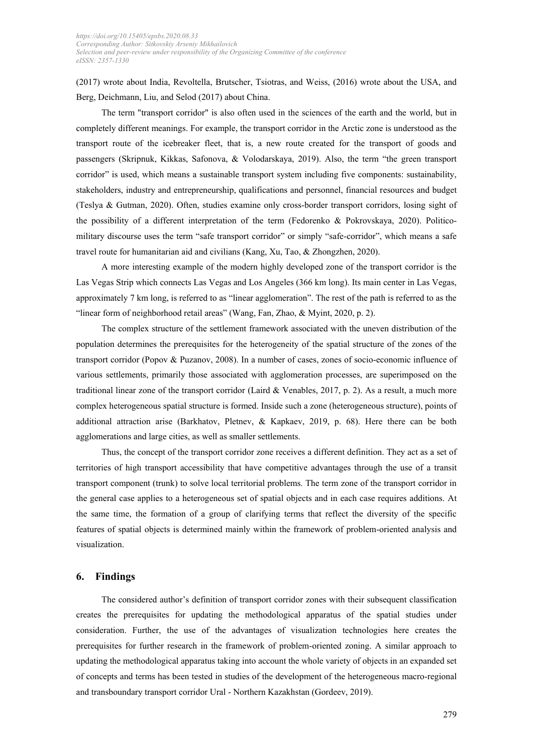(2017) wrote about India, Revoltella, Brutscher, Tsiotras, and Weiss, (2016) wrote about the USA, and Berg, Deichmann, Liu, and Selod (2017) about China.

The term "transport corridor" is also often used in the sciences of the earth and the world, but in completely different meanings. For example, the transport corridor in the Arctic zone is understood as the transport route of the icebreaker fleet, that is, a new route created for the transport of goods and passengers (Skripnuk, Kikkas, Safonova, & Volodarskaya, 2019). Also, the term "the green transport corridor" is used, which means a sustainable transport system including five components: sustainability, stakeholders, industry and entrepreneurship, qualifications and personnel, financial resources and budget (Teslya & Gutman, 2020). Often, studies examine only cross-border transport corridors, losing sight of the possibility of a different interpretation of the term (Fedorenko & Pokrovskaya, 2020). Politicomilitary discourse uses the term "safe transport corridor" or simply "safe-corridor", which means a safe travel route for humanitarian aid and civilians (Kang, Xu, Tao, & Zhongzhen, 2020).

A more interesting example of the modern highly developed zone of the transport corridor is the Las Vegas Strip which connects Las Vegas and Los Angeles (366 km long). Its main center in Las Vegas, approximately 7 km long, is referred to as "linear agglomeration". The rest of the path is referred to as the "linear form of neighborhood retail areas" (Wang, Fan, Zhao, & Myint, 2020, p. 2).

The complex structure of the settlement framework associated with the uneven distribution of the population determines the prerequisites for the heterogeneity of the spatial structure of the zones of the transport corridor (Popov & Puzanov, 2008). In a number of cases, zones of socio-economic influence of various settlements, primarily those associated with agglomeration processes, are superimposed on the traditional linear zone of the transport corridor (Laird & Venables, 2017, p. 2). As a result, a much more complex heterogeneous spatial structure is formed. Inside such a zone (heterogeneous structure), points of additional attraction arise (Barkhatov, Pletnev, & Kapkaev, 2019, p. 68). Here there can be both agglomerations and large cities, as well as smaller settlements.

Thus, the concept of the transport corridor zone receives a different definition. They act as a set of territories of high transport accessibility that have competitive advantages through the use of a transit transport component (trunk) to solve local territorial problems. The term zone of the transport corridor in the general case applies to a heterogeneous set of spatial objects and in each case requires additions. At the same time, the formation of a group of clarifying terms that reflect the diversity of the specific features of spatial objects is determined mainly within the framework of problem-oriented analysis and visualization.

#### **6. Findings**

The considered author's definition of transport corridor zones with their subsequent classification creates the prerequisites for updating the methodological apparatus of the spatial studies under consideration. Further, the use of the advantages of visualization technologies here creates the prerequisites for further research in the framework of problem-oriented zoning. A similar approach to updating the methodological apparatus taking into account the whole variety of objects in an expanded set of concepts and terms has been tested in studies of the development of the heterogeneous macro-regional and transboundary transport corridor Ural - Northern Kazakhstan (Gordeev, 2019).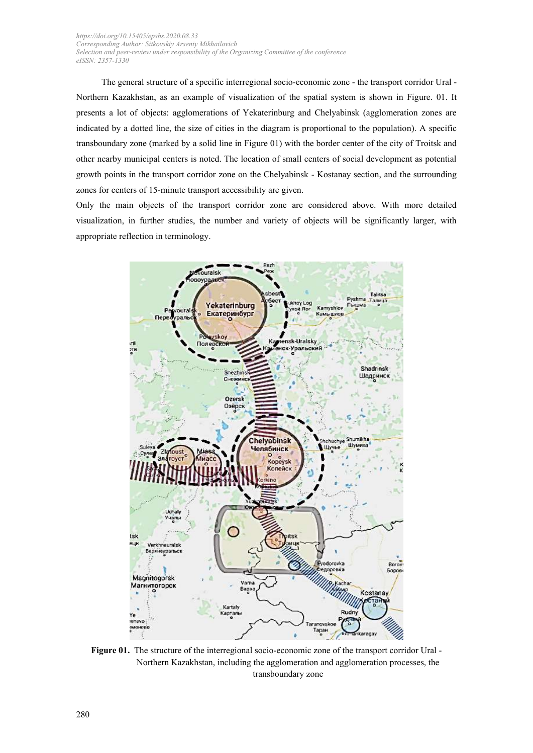The general structure of a specific interregional socio-economic zone - the transport corridor Ural - Northern Kazakhstan, as an example of visualization of the spatial system is shown in Figure. 01. It presents a lot of objects: agglomerations of Yekaterinburg and Chelyabinsk (agglomeration zones are indicated by a dotted line, the size of cities in the diagram is proportional to the population). A specific transboundary zone (marked by a solid line in Figure 01) with the border center of the city of Troitsk and other nearby municipal centers is noted. The location of small centers of social development as potential growth points in the transport corridor zone on the Chelyabinsk - Kostanay section, and the surrounding zones for centers of 15-minute transport accessibility are given.

Only the main objects of the transport corridor zone are considered above. With more detailed visualization, in further studies, the number and variety of objects will be significantly larger, with appropriate reflection in terminology.



Figure 01. The structure of the interregional socio-economic zone of the transport corridor Ural -Northern Kazakhstan, including the agglomeration and agglomeration processes, the transboundary zone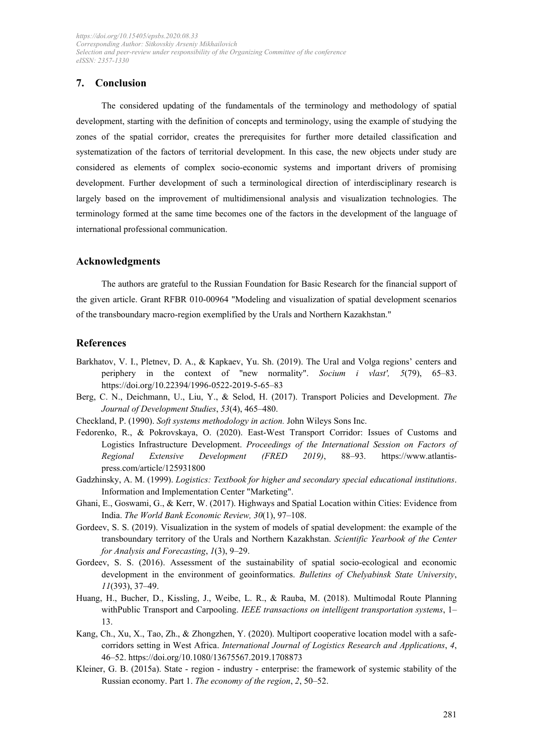## **7. Conclusion**

The considered updating of the fundamentals of the terminology and methodology of spatial development, starting with the definition of concepts and terminology, using the example of studying the zones of the spatial corridor, creates the prerequisites for further more detailed classification and systematization of the factors of territorial development. In this case, the new objects under study are considered as elements of complex socio-economic systems and important drivers of promising development. Further development of such a terminological direction of interdisciplinary research is largely based on the improvement of multidimensional analysis and visualization technologies. The terminology formed at the same time becomes one of the factors in the development of the language of international professional communication.

## **Acknowledgments**

The authors are grateful to the Russian Foundation for Basic Research for the financial support of the given article. Grant RFBR 010-00964 "Modeling and visualization of spatial development scenarios of the transboundary macro-region exemplified by the Urals and Northern Kazakhstan."

#### **References**

- Barkhatov, V. I., Pletnev, D. A., & Kapkaev, Yu. Sh. (2019). The Ural and Volga regions' centers and periphery in the context of "new normality". *Socium i vlast', 5*(79), 65–83. https://doi.org/10.22394/1996-0522-2019-5-65–83
- Berg, C. N., Deichmann, U., Liu, Y., & Selod, H. (2017). Transport Policies and Development. *The Journal of Development Studies*, *53*(4), 465–480.
- Checkland, P. (1990). *Soft systems methodology in action.* John Wileys Sons Inc.
- Fedorenko, R., & Pokrovskaya, O. (2020). East-West Transport Corridor: Issues of Customs and Logistics Infrastructure Development. *Proceedings of the International Session on Factors of Regional Extensive Development (FRED 2019)*, 88–93. https://www.atlantispress.com/article/125931800
- Gadzhinsky, A. M. (1999). *Logistics: Textbook for higher and secondary special educational institutions*. Information and Implementation Center "Marketing".
- Ghani, E., Goswami, G., & Kerr, W. (2017). Highways and Spatial Location within Cities: Evidence from India. *The World Bank Economic Review, 30*(1), 97–108.
- Gordeev, S. S. (2019). Visualization in the system of models of spatial development: the example of the transboundary territory of the Urals and Northern Kazakhstan. *Scientific Yearbook of the Center for Analysis and Forecasting*, *1*(3), 9–29.
- Gordeev, S. S. (2016). Assessment of the sustainability of spatial socio-ecological and economic development in the environment of geoinformatics. *Bulletins of Chelyabinsk State University*, *11*(393), 37–49.
- Huang, H., Bucher, D., Kissling, J., Weibe, L. R., & Rauba, M. (2018). Multimodal Route Planning withPublic Transport and Carpooling. *IEEE transactions on intelligent transportation systems*, 1– 13.
- Kang, Ch., Xu, X., Tao, Zh., & Zhongzhen, Y. (2020). Multiport cooperative location model with a safecorridors setting in West Africa. *International Journal of Logistics Research and Applications*, *4*, 46–52. https://doi.org/10.1080/13675567.2019.1708873
- Kleiner, G. B. (2015a). State region industry enterprise: the framework of systemic stability of the Russian economy. Part 1. *The economy of the region*, *2*, 50–52.